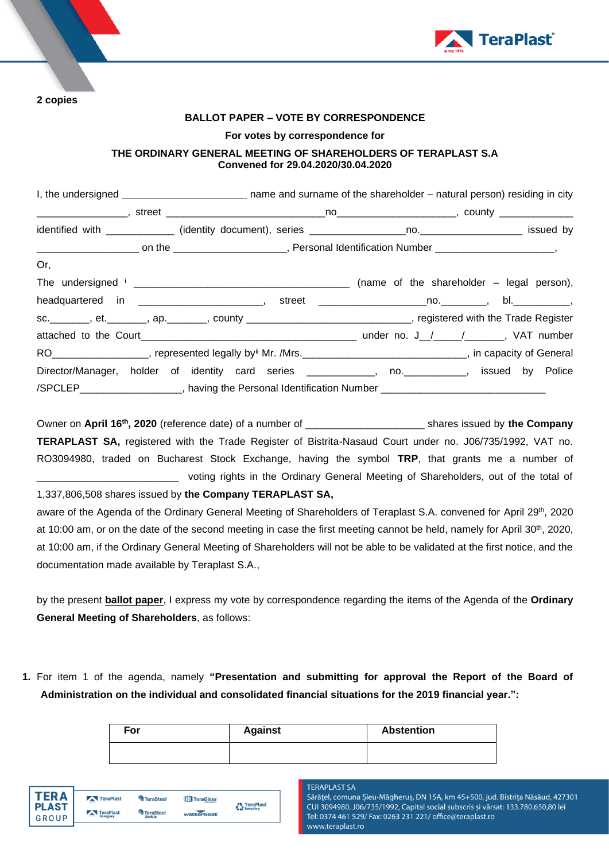

**2 copies** 

### **BALLOT PAPER – VOTE BY CORRESPONDENCE**

#### **For votes by correspondence for**

## **THE ORDINARY GENERAL MEETING OF SHAREHOLDERS OF TERAPLAST S.A Convened for 29.04.2020/30.04.2020**

|                                                                                                                   | I, the undersigned _________________________________ name and surname of the shareholder - natural person) residing in city |  |  |  |  |
|-------------------------------------------------------------------------------------------------------------------|-----------------------------------------------------------------------------------------------------------------------------|--|--|--|--|
|                                                                                                                   |                                                                                                                             |  |  |  |  |
|                                                                                                                   |                                                                                                                             |  |  |  |  |
|                                                                                                                   |                                                                                                                             |  |  |  |  |
| Or,                                                                                                               |                                                                                                                             |  |  |  |  |
|                                                                                                                   |                                                                                                                             |  |  |  |  |
| headquartered in _________________________, street _____________________________, bl._____________,               |                                                                                                                             |  |  |  |  |
| sc. ________, et. _______, ap. _______, county ______________________________, registered with the Trade Register |                                                                                                                             |  |  |  |  |
|                                                                                                                   |                                                                                                                             |  |  |  |  |
| RO__________________, represented legally by Mr. /Mrs.___________________________, in capacity of General         |                                                                                                                             |  |  |  |  |
| Director/Manager, holder of identity card series ____________, no. __________, issued by Police                   |                                                                                                                             |  |  |  |  |
| /SPCLEP____________________, having the Personal Identification Number ____________________________               |                                                                                                                             |  |  |  |  |

Owner on April 16<sup>th</sup>, 2020 (reference date) of a number of \_\_\_\_\_\_\_\_\_\_\_\_\_\_\_\_\_\_\_\_\_\_\_\_ shares issued by the Company **TERAPLAST SA,** registered with the Trade Register of Bistrita-Nasaud Court under no. J06/735/1992, VAT no. RO3094980, traded on Bucharest Stock Exchange, having the symbol **TRP**, that grants me a number of \_\_\_\_\_\_\_\_\_\_\_\_\_\_\_\_\_\_\_\_\_\_\_\_\_ voting rights in the Ordinary General Meeting of Shareholders, out of the total of

1,337,806,508 shares issued by **the Company TERAPLAST SA,**

aware of the Agenda of the Ordinary General Meeting of Shareholders of Teraplast S.A. convened for April 29<sup>th</sup>, 2020 at 10:00 am, or on the date of the second meeting in case the first meeting cannot be held, namely for April 30<sup>th</sup>, 2020, at 10:00 am, if the Ordinary General Meeting of Shareholders will not be able to be validated at the first notice, and the documentation made available by Teraplast S.A.,

by the present **ballot paper**, I express my vote by correspondence regarding the items of the Agenda of the **Ordinary General Meeting of Shareholders**, as follows:

**1.** For item 1 of the agenda, namely **"Presentation and submitting for approval the Report of the Board of Administration on the individual and consolidated financial situations for the 2019 financial year.":**

| For | <b>Against</b> | <b>Abstention</b> |
|-----|----------------|-------------------|
|     |                |                   |

**TERAPLAST SA** 

Sărățel, comuna Șieu-Măgheruș, DN 15A, km 45+500, jud. Bistrița Năsăud, 427301 CUI 3094980, J06/735/1992, Capital social subscris și vărsat: 133.780.650,80 lei Tel: 0374 461 529/ Fax: 0263 231 221/ office@teraplast.ro www.teraplast.ro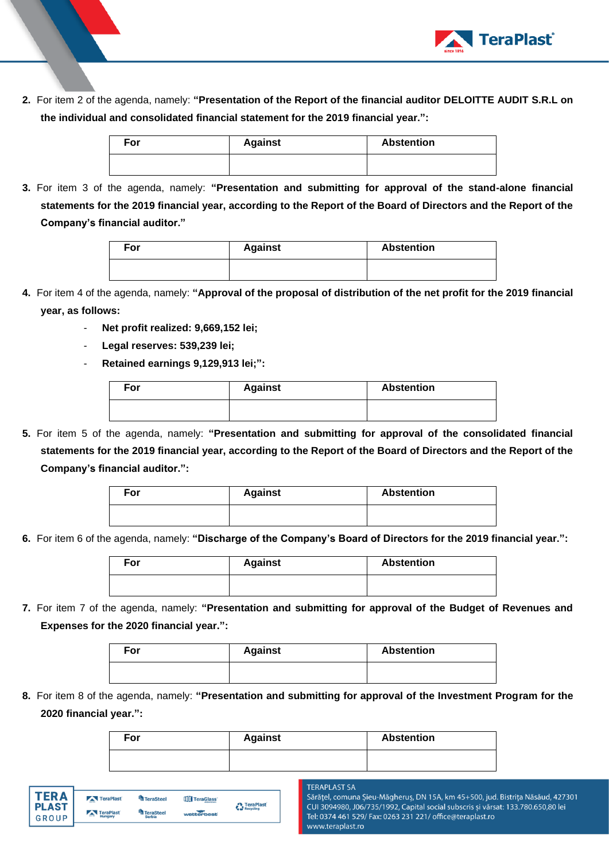

**2.** For item 2 of the agenda, namely: **"Presentation of the Report of the financial auditor DELOITTE AUDIT S.R.L on the individual and consolidated financial statement for the 2019 financial year.":**

| For | <b>Against</b> | <b>Abstention</b> |  |
|-----|----------------|-------------------|--|
|     |                |                   |  |

**3.** For item 3 of the agenda, namely: **"Presentation and submitting for approval of the stand-alone financial statements for the 2019 financial year, according to the Report of the Board of Directors and the Report of the Company's financial auditor."**

| For | <b>Against</b> | <b>Abstention</b> |
|-----|----------------|-------------------|
|     |                |                   |

- **4.** For item 4 of the agenda, namely: **"Approval of the proposal of distribution of the net profit for the 2019 financial year, as follows:** 
	- **Net profit realized: 9,669,152 lei;**
	- **Legal reserves: 539,239 lei;**
	- **Retained earnings 9,129,913 lei;":**

| For | <b>Against</b> | <b>Abstention</b> |
|-----|----------------|-------------------|
|     |                |                   |

**5.** For item 5 of the agenda, namely: **"Presentation and submitting for approval of the consolidated financial statements for the 2019 financial year, according to the Report of the Board of Directors and the Report of the Company's financial auditor.":**

| For | <b>Against</b> | <b>Abstention</b> |
|-----|----------------|-------------------|
|     |                |                   |

**6.** For item 6 of the agenda, namely: **"Discharge of the Company's Board of Directors for the 2019 financial year.":**

| For | <b>Against</b> | <b>Abstention</b> |
|-----|----------------|-------------------|
|     |                |                   |

**7.** For item 7 of the agenda, namely: **"Presentation and submitting for approval of the Budget of Revenues and Expenses for the 2020 financial year.":**

| For | <b>Against</b> | <b>Abstention</b> |
|-----|----------------|-------------------|
|     |                |                   |

**8.** For item 8 of the agenda, namely: **"Presentation and submitting for approval of the Investment Program for the 2020 financial year.":**

| For | <b>Against</b> | <b>Abstention</b> |  |
|-----|----------------|-------------------|--|
|     |                |                   |  |

| TFR A          | TeraPlast               | <sup>4</sup> TeraSteel | TeraGlass  | <b>A</b> TeraPlast |
|----------------|-------------------------|------------------------|------------|--------------------|
| <b>I PLAST</b> | TeraPlast               | <b>TeraSteel</b>       |            | Recycling          |
| GROUP          | <b>COLOR</b><br>Hungary | <b>Serbia</b>          | wetterbest |                    |

#### **TERAPLAST SA**

Sărățel, comuna Șieu-Măgheruș, DN 15A, km 45+500, jud. Bistrița Năsăud, 427301 CUI 3094980, J06/735/1992, Capital social subscris și vărsat: 133.780.650,80 lei Tel: 0374 461 529/ Fax: 0263 231 221/ office@teraplast.ro www.teraplast.ro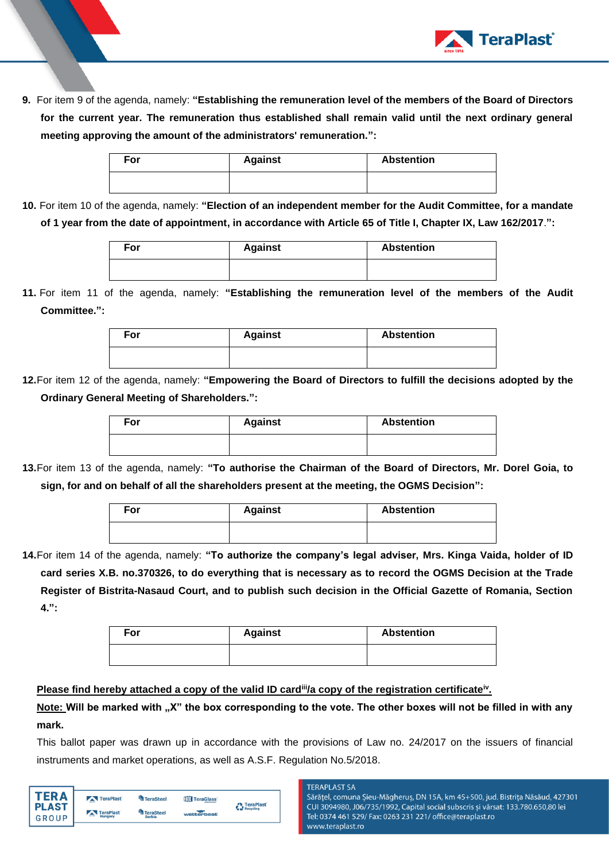

**9.** For item 9 of the agenda, namely: **"Establishing the remuneration level of the members of the Board of Directors for the current year. The remuneration thus established shall remain valid until the next ordinary general meeting approving the amount of the administrators' remuneration.":**

| For | <b>Against</b> | <b>Abstention</b> |  |
|-----|----------------|-------------------|--|
|     |                |                   |  |

**10.** For item 10 of the agenda, namely: **"Election of an independent member for the Audit Committee, for a mandate of 1 year from the date of appointment, in accordance with Article 65 of Title I, Chapter IX, Law 162/2017**.**":**

| For | <b>Against</b> | <b>Abstention</b> |
|-----|----------------|-------------------|
|     |                |                   |

**11.** For item 11 of the agenda, namely: **"Establishing the remuneration level of the members of the Audit Committee.":**



**12.**For item 12 of the agenda, namely: **"Empowering the Board of Directors to fulfill the decisions adopted by the Ordinary General Meeting of Shareholders.":**

| For | <b>Against</b> | <b>Abstention</b> |  |
|-----|----------------|-------------------|--|
|     |                |                   |  |

**13.**For item 13 of the agenda, namely: **"To authorise the Chairman of the Board of Directors, Mr. Dorel Goia, to sign, for and on behalf of all the shareholders present at the meeting, the OGMS Decision":**

| For | <b>Against</b> | <b>Abstention</b> |
|-----|----------------|-------------------|
|     |                |                   |

**14.**For item 14 of the agenda, namely: **"To authorize the company's legal adviser, Mrs. Kinga Vaida, holder of ID card series X.B. no.370326, to do everything that is necessary as to record the OGMS Decision at the Trade Register of Bistrita-Nasaud Court, and to publish such decision in the Official Gazette of Romania, Section 4.":**

| For | <b>Against</b> | <b>Abstention</b> |  |
|-----|----------------|-------------------|--|
|     |                |                   |  |

# **Please find hereby attached a copy of the valid ID card<sup>ii</sup>/a copy of the registration certificate<sup>iv</sup>.**

Note: Will be marked with "X" the box corresponding to the vote. The other boxes will not be filled in with any **mark.** 

This ballot paper was drawn up in accordance with the provisions of Law no. 24/2017 on the issuers of financial instruments and market operations, as well as A.S.F. Regulation No.5/2018.

| TER A        | TeraPlast | TeraSteel        | TeraGlass  | <b>A</b> TeraPlast |
|--------------|-----------|------------------|------------|--------------------|
| <b>PLAST</b> | TeraPlast | <b>TeraSteel</b> |            | Recycling          |
| GROUP        | Hungary   | <b>Serbia</b>    | wetterbest |                    |
|              |           |                  |            |                    |